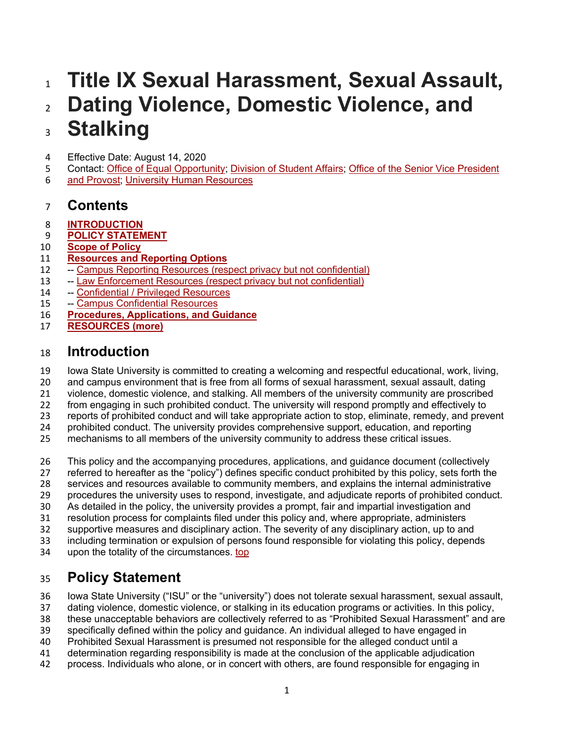# **Title IX Sexual Harassment, Sexual Assault, Dating Violence, Domestic Violence, and Stalking**

- Effective Date: August 14, 2020
- Contact: [Office of Equal Opportunity;](http://eooffice@iastate.edu/) [Division of Student Affairs;](https://www.studentaffairs.iastate.edu/) [Office of the Senior](https://www.provost.iastate.edu/) Vice President
- [and Provost;](https://www.provost.iastate.edu/) [University Human Resources](https://www.hr.iastate.edu/)

## **Contents**

- **[INTRODUCTION](https://www.policy.iastate.edu/policy/students/sexualmisconduct#intro)**
- **[POLICY STATEMENT](https://www.policy.iastate.edu/policy/students/sexualmisconduct#polstmt)**
- **[Scope of Policy](https://www.policy.iastate.edu/policy/students/sexualmisconduct#scope)**
- **[Resources and Reporting Options](https://www.policy.iastate.edu/policy/students/sexualmisconduct#rro)**
- -- [Campus Reporting Resources \(respect privacy but not confidential\)](https://www.policy.iastate.edu/policy/students/sexualmisconduct#campusrr)
- -- [Law Enforcement Resources \(respect privacy but not confidential\)](https://www.policy.iastate.edu/policy/students/sexualmisconduct#law)
- -- [Confidential / Privileged Resources](https://www.policy.iastate.edu/policy/students/sexualmisconduct#confid)
- -- [Campus Confidential Resources](https://www.policy.iastate.edu/policy/students/sexualmisconduct#campuscr)
- **[Procedures, Applications, and Guidance](https://www.policy.iastate.edu/policy/students/sexualmisconduct#proc)**
- **[RESOURCES \(more\)](https://www.policy.iastate.edu/policy/students/sexualmisconduct#resources)**

## **Introduction**

Iowa State University is committed to creating a welcoming and respectful educational, work, living,

- and campus environment that is free from all forms of sexual harassment, sexual assault, dating
- violence, domestic violence, and stalking. All members of the university community are proscribed
- from engaging in such prohibited conduct. The university will respond promptly and effectively to
- reports of prohibited conduct and will take appropriate action to stop, eliminate, remedy, and prevent
- prohibited conduct. The university provides comprehensive support, education, and reporting mechanisms to all members of the university community to address these critical issues.
- 
- This policy and the accompanying procedures, applications, and guidance document (collectively
- referred to hereafter as the "policy") defines specific conduct prohibited by this policy, sets forth the
- services and resources available to community members, and explains the internal administrative
- procedures the university uses to respond, investigate, and adjudicate reports of prohibited conduct.
- As detailed in the policy, the university provides a prompt, fair and impartial investigation and
- resolution process for complaints filed under this policy and, where appropriate, administers
- supportive measures and disciplinary action. The severity of any disciplinary action, up to and
- including termination or expulsion of persons found responsible for violating this policy, depends
- upon the totality of the circumstances. [top](https://www.policy.iastate.edu/policy/students/sexualmisconduct#top)

## **Policy Statement**

Iowa State University ("ISU" or the "university") does not tolerate sexual harassment, sexual assault,

- dating violence, domestic violence, or stalking in its education programs or activities. In this policy,
- these unacceptable behaviors are collectively referred to as "Prohibited Sexual Harassment" and are
- specifically defined within the policy and guidance. An individual alleged to have engaged in
- Prohibited Sexual Harassment is presumed not responsible for the alleged conduct until a
- determination regarding responsibility is made at the conclusion of the applicable adjudication
- process. Individuals who alone, or in concert with others, are found responsible for engaging in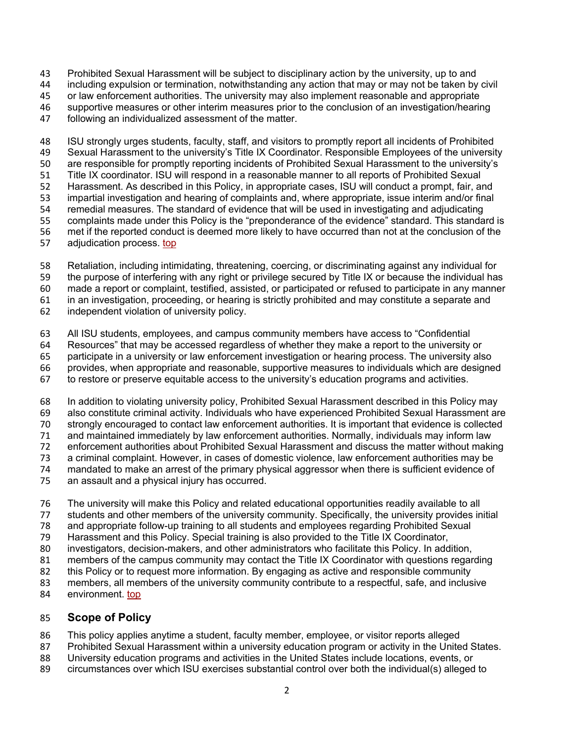Prohibited Sexual Harassment will be subject to disciplinary action by the university, up to and

including expulsion or termination, notwithstanding any action that may or may not be taken by civil

 or law enforcement authorities. The university may also implement reasonable and appropriate supportive measures or other interim measures prior to the conclusion of an investigation/hearing

following an individualized assessment of the matter.

 ISU strongly urges students, faculty, staff, and visitors to promptly report all incidents of Prohibited Sexual Harassment to the university's Title IX Coordinator. Responsible Employees of the university are responsible for promptly reporting incidents of Prohibited Sexual Harassment to the university's Title IX coordinator. ISU will respond in a reasonable manner to all reports of Prohibited Sexual Harassment. As described in this Policy, in appropriate cases, ISU will conduct a prompt, fair, and impartial investigation and hearing of complaints and, where appropriate, issue interim and/or final remedial measures. The standard of evidence that will be used in investigating and adjudicating complaints made under this Policy is the "preponderance of the evidence" standard. This standard is met if the reported conduct is deemed more likely to have occurred than not at the conclusion of the adjudication process. [top](https://www.policy.iastate.edu/policy/students/sexualmisconduct#top)

- Retaliation, including intimidating, threatening, coercing, or discriminating against any individual for
- the purpose of interfering with any right or privilege secured by Title IX or because the individual has

made a report or complaint, testified, assisted, or participated or refused to participate in any manner

in an investigation, proceeding, or hearing is strictly prohibited and may constitute a separate and

independent violation of university policy.

All ISU students, employees, and campus community members have access to "Confidential

Resources" that may be accessed regardless of whether they make a report to the university or

participate in a university or law enforcement investigation or hearing process. The university also

- provides, when appropriate and reasonable, supportive measures to individuals which are designed
- to restore or preserve equitable access to the university's education programs and activities.
- In addition to violating university policy, Prohibited Sexual Harassment described in this Policy may
- also constitute criminal activity. Individuals who have experienced Prohibited Sexual Harassment are
- strongly encouraged to contact law enforcement authorities. It is important that evidence is collected

 and maintained immediately by law enforcement authorities. Normally, individuals may inform law enforcement authorities about Prohibited Sexual Harassment and discuss the matter without making

- 
- 73 a criminal complaint. However, in cases of domestic violence, law enforcement authorities may be<br>74 mandated to make an arrest of the primary physical aggressor when there is sufficient evidence of mandated to make an arrest of the primary physical aggressor when there is sufficient evidence of
- an assault and a physical injury has occurred.
- The university will make this Policy and related educational opportunities readily available to all
- 
- 77 students and other members of the university community. Specifically, the university provides initial<br>78 and appropriate follow-up training to all students and employees regarding Prohibited Sexual and appropriate follow-up training to all students and employees regarding Prohibited Sexual
- Harassment and this Policy. Special training is also provided to the Title IX Coordinator,
- investigators, decision-makers, and other administrators who facilitate this Policy. In addition,
- members of the campus community may contact the Title IX Coordinator with questions regarding
- this Policy or to request more information. By engaging as active and responsible community
- 83 members, all members of the university community contribute to a respectful, safe, and inclusive
- environment. [top](https://www.policy.iastate.edu/policy/students/sexualmisconduct#top)

### **Scope of Policy**

- This policy applies anytime a student, faculty member, employee, or visitor reports alleged
- Prohibited Sexual Harassment within a university education program or activity in the United States.
- University education programs and activities in the United States include locations, events, or
- circumstances over which ISU exercises substantial control over both the individual(s) alleged to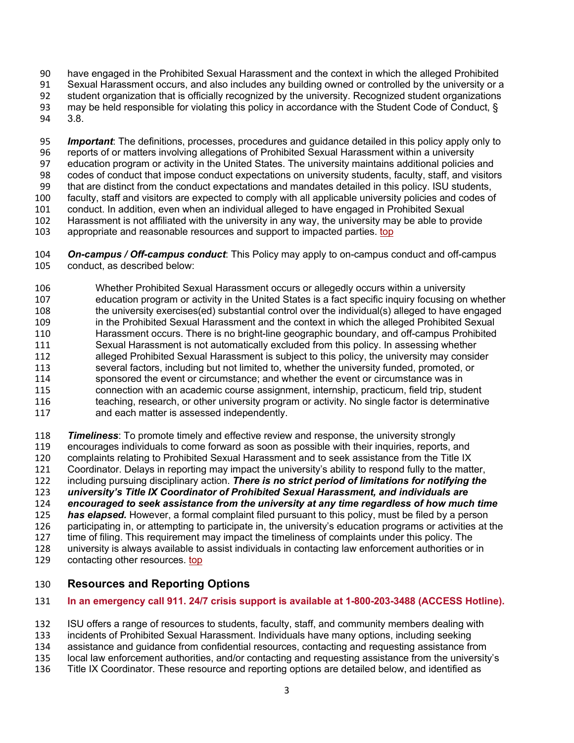have engaged in the Prohibited Sexual Harassment and the context in which the alleged Prohibited

Sexual Harassment occurs, and also includes any building owned or controlled by the university or a

 student organization that is officially recognized by the university. Recognized student organizations may be held responsible for violating this policy in accordance with the Student Code of Conduct, §

3.8.

 *Important*: The definitions, processes, procedures and guidance detailed in this policy apply only to reports of or matters involving allegations of Prohibited Sexual Harassment within a university education program or activity in the United States. The university maintains additional policies and codes of conduct that impose conduct expectations on university students, faculty, staff, and visitors that are distinct from the conduct expectations and mandates detailed in this policy. ISU students, faculty, staff and visitors are expected to comply with all applicable university policies and codes of conduct. In addition, even when an individual alleged to have engaged in Prohibited Sexual Harassment is not affiliated with the university in any way, the university may be able to provide appropriate and reasonable resources and support to impacted parties. [top](https://www.policy.iastate.edu/policy/students/sexualmisconduct#top)

 *On-campus / Off-campus conduct*: This Policy may apply to on-campus conduct and off-campus conduct, as described below:

 Whether Prohibited Sexual Harassment occurs or allegedly occurs within a university education program or activity in the United States is a fact specific inquiry focusing on whether the university exercises(ed) substantial control over the individual(s) alleged to have engaged in the Prohibited Sexual Harassment and the context in which the alleged Prohibited Sexual Harassment occurs. There is no bright-line geographic boundary, and off-campus Prohibited Sexual Harassment is not automatically excluded from this policy. In assessing whether alleged Prohibited Sexual Harassment is subject to this policy, the university may consider several factors, including but not limited to, whether the university funded, promoted, or sponsored the event or circumstance; and whether the event or circumstance was in connection with an academic course assignment, internship, practicum, field trip, student 116 teaching, research, or other university program or activity. No single factor is determinative and each matter is assessed independently.

 *Timeliness*: To promote timely and effective review and response, the university strongly encourages individuals to come forward as soon as possible with their inquiries, reports, and complaints relating to Prohibited Sexual Harassment and to seek assistance from the Title IX Coordinator. Delays in reporting may impact the university's ability to respond fully to the matter, including pursuing disciplinary action. *There is no strict period of limitations for notifying the university's Title IX Coordinator of Prohibited Sexual Harassment, and individuals are*  **encouraged to seek assistance from the university at any time regardless of how much time**<br>125 **has elapsed.** However, a formal complaint filed pursuant to this policy, must be filed by a person **has elapsed.** However, a formal complaint filed pursuant to this policy, must be filed by a person participating in, or attempting to participate in, the university's education programs or activities at the time of filing. This requirement may impact the timeliness of complaints under this policy. The university is always available to assist individuals in contacting law enforcement authorities or in

129 contacting other resources. [top](https://www.policy.iastate.edu/policy/students/sexualmisconduct#top)

### **Resources and Reporting Options**

### **In an emergency call 911. 24/7 crisis support is available at 1-800-203-3488 (ACCESS Hotline).**

ISU offers a range of resources to students, faculty, staff, and community members dealing with

incidents of Prohibited Sexual Harassment. Individuals have many options, including seeking

assistance and guidance from confidential resources, contacting and requesting assistance from

- local law enforcement authorities, and/or contacting and requesting assistance from the university's
- Title IX Coordinator. These resource and reporting options are detailed below, and identified as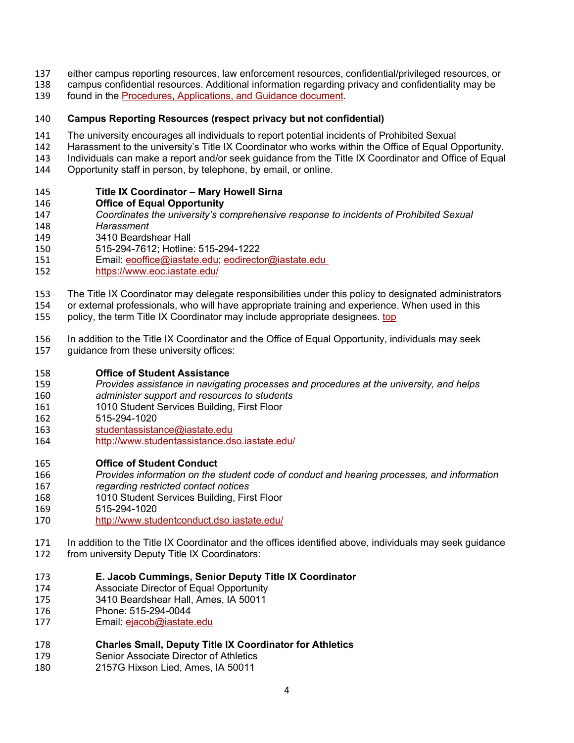- either campus reporting resources, law enforcement resources, confidential/privileged resources, or
- campus confidential resources. Additional information regarding privacy and confidentiality may be
- found in the [Procedures, Applications, and Guidance document.](https://www.policy.iastate.edu/sites/default/files/resources/223/PAG%20-Title%20IX%202020-08-14.pdf)

### **Campus Reporting Resources (respect privacy but not confidential)**

- The university encourages all individuals to report potential incidents of Prohibited Sexual
- Harassment to the university's Title IX Coordinator who works within the Office of Equal Opportunity.
- Individuals can make a report and/or seek guidance from the Title IX Coordinator and Office of Equal
- Opportunity staff in person, by telephone, by email, or online.

### **Title IX Coordinator – Mary Howell Sirna**

- **Office of Equal Opportunity**
- *Coordinates the university's comprehensive response to incidents of Prohibited Sexual*
- *Harassment*
- 3410 Beardshear Hall
- 515-294-7612; Hotline: 515-294-1222
- Email: [eooffice@iastate.edu;](mailto:eooffice@iastate.edu) [eodirector@iastate.edu](mailto:msirna@iastate.edu)
- <https://www.eoc.iastate.edu/>
- The Title IX Coordinator may delegate responsibilities under this policy to designated administrators
- or external professionals, who will have appropriate training and experience. When used in this
- policy, the term Title IX Coordinator may include appropriate designees. [top](https://www.policy.iastate.edu/policy/students/sexualmisconduct#top)
- In addition to the Title IX Coordinator and the Office of Equal Opportunity, individuals may seek
- guidance from these university offices:

### **Office of Student Assistance**

- *Provides assistance in navigating processes and procedures at the university, and helps*
- *administer support and resources to students*
- 1010 Student Services Building, First Floor
- 515-294-1020
- [studentassistance@iastate.edu](mailto:studentassistance@iastate.edu)
- <http://www.studentassistance.dso.iastate.edu/>

### **Office of Student Conduct**

- *Provides information on the student code of conduct and hearing processes, and information*
- *regarding restricted contact notices*
- 1010 Student Services Building, First Floor
- 515-294-1020
- <http://www.studentconduct.dso.iastate.edu/>
- In addition to the Title IX Coordinator and the offices identified above, individuals may seek guidance
- from university Deputy Title IX Coordinators:
- **E. Jacob Cummings, Senior Deputy Title IX Coordinator**
- Associate Director of Equal Opportunity
- 3410 Beardshear Hall, Ames, IA 50011
- Phone: 515-294-0044
- Email: [ejacob@iastate.edu](mailto:alyles@iastate.edu)
- **Charles Small, Deputy Title IX Coordinator for Athletics**
- Senior Associate Director of Athletics
- 2157G Hixson Lied, Ames, IA 50011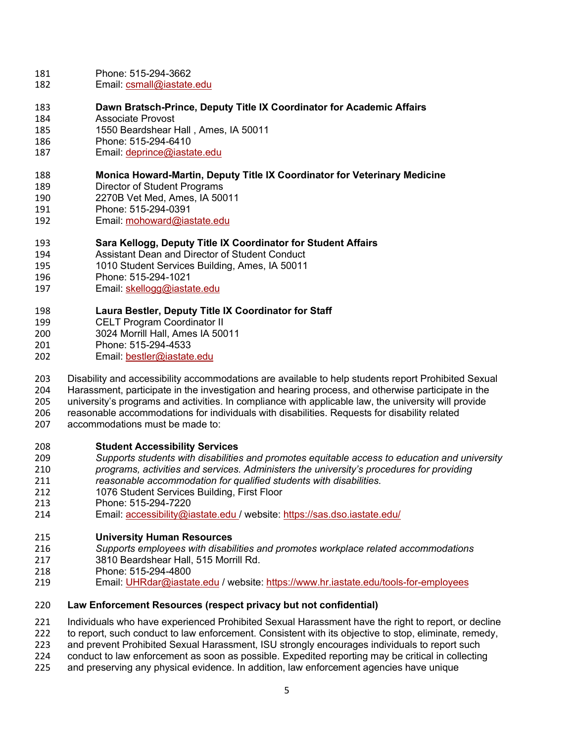- Phone: 515-294-3662
- Email: [csmall@iastate.edu](mailto:csmall@iastate.edu)
- **Dawn Bratsch-Prince, Deputy Title IX Coordinator for Academic Affairs**
- Associate Provost
- 1550 Beardshear Hall , Ames, IA 50011
- Phone: 515-294-6410
- Email: [deprince@iastate.edu](mailto:deprince@iastate.edu)

### **Monica Howard-Martin, Deputy Title IX Coordinator for Veterinary Medicine**

- Director of Student Programs
- 2270B Vet Med, Ames, IA 50011
- Phone: 515-294-0391
- Email: [mohoward@iastate.edu](mailto:mohoward@iastate.edu)

### **Sara Kellogg, Deputy Title IX Coordinator for Student Affairs**

- Assistant Dean and Director of Student Conduct
- 1010 Student Services Building, Ames, IA 50011
- Phone: 515-294-1021
- Email: [skellogg@iastate.edu](mailto:skellogg@iastate.edu)

### **Laura Bestler, Deputy Title IX Coordinator for Staff**

- CELT Program Coordinator II
- 3024 Morrill Hall, Ames IA 50011
- Phone: 515-294-4533
- 202 Email: [bestler@iastate.edu](mailto:bestler@iastate.edu)

Disability and accessibility accommodations are available to help students report Prohibited Sexual

- Harassment, participate in the investigation and hearing process, and otherwise participate in the university's programs and activities. In compliance with applicable law, the university will provide
- reasonable accommodations for individuals with disabilities. Requests for disability related
- accommodations must be made to:

### **Student Accessibility Services**

- *Supports students with disabilities and promotes equitable access to education and university*
- *programs, activities and services. Administers the university's procedures for providing*
- *reasonable accommodation for qualified students with disabilities.*
- 1076 Student Services Building, First Floor
- Phone: 515-294-7220
- Email: [accessibility@iastate.edu](mailto:accessibility@iastate.edu) / website: <https://sas.dso.iastate.edu/>

## **University Human Resources**

- *Supports employees with disabilities and promotes workplace related accommodations*
- 3810 Beardshear Hall, 515 Morrill Rd.
- Phone: 515-294-4800
- Email: [UHRdar@iastate.edu](mailto:UHRdar@iastate.edu) / website: <https://www.hr.iastate.edu/tools-for-employees>

### **Law Enforcement Resources (respect privacy but not confidential)**

- Individuals who have experienced Prohibited Sexual Harassment have the right to report, or decline
- to report, such conduct to law enforcement. Consistent with its objective to stop, eliminate, remedy,
- and prevent Prohibited Sexual Harassment, ISU strongly encourages individuals to report such
- conduct to law enforcement as soon as possible. Expedited reporting may be critical in collecting
- and preserving any physical evidence. In addition, law enforcement agencies have unique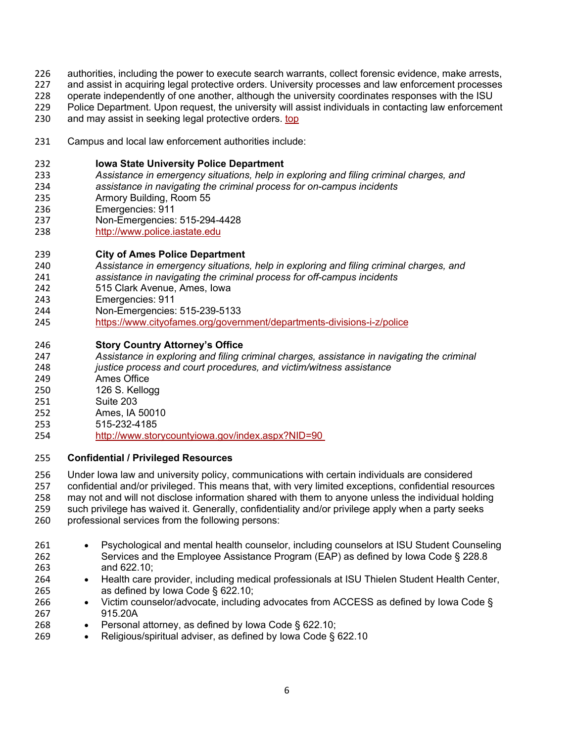- authorities, including the power to execute search warrants, collect forensic evidence, make arrests,
- and assist in acquiring legal protective orders. University processes and law enforcement processes
- operate independently of one another, although the university coordinates responses with the ISU
- 229 Police Department. Upon request, the university will assist individuals in contacting law enforcement 230<br>230 and may assist in seeking legal protective orders. top
- and may assist in seeking legal protective orders, [top](https://www.policy.iastate.edu/policy/students/sexualmisconduct#top)
- Campus and local law enforcement authorities include:

### **Iowa State University Police Department**

- *Assistance in emergency situations, help in exploring and filing criminal charges, and*
- *assistance in navigating the criminal process for on-campus incidents*
- Armory Building, Room 55
- Emergencies: 911
- Non-Emergencies: 515-294-4428
- [http://www.police.iastate.edu](http://www.police.iastate.edu/)
- **City of Ames Police Department**
- *Assistance in emergency situations, help in exploring and filing criminal charges, and*
- *assistance in navigating the criminal process for off-campus incidents*
- 515 Clark Avenue, Ames, Iowa
- Emergencies: 911
- Non-Emergencies: 515-239-5133
- <https://www.cityofames.org/government/departments-divisions-i-z/police>
- **Story Country Attorney's Office**
- *Assistance in exploring and filing criminal charges, assistance in navigating the criminal*
- *justice process and court procedures, and victim/witness assistance*
- Ames Office
- 126 S. Kellogg
- Suite 203
- Ames, IA 50010
- 515-232-4185
- [http://www.storycountyiowa.gov/index.aspx?NID=90](http://www.storycountyiowa.gov/index.aspx?NID=90%C2%A0)

### **Confidential / Privileged Resources**

 Under Iowa law and university policy, communications with certain individuals are considered confidential and/or privileged. This means that, with very limited exceptions, confidential resources

may not and will not disclose information shared with them to anyone unless the individual holding

- such privilege has waived it. Generally, confidentiality and/or privilege apply when a party seeks professional services from the following persons:
- Psychological and mental health counselor, including counselors at ISU Student Counseling Services and the Employee Assistance Program (EAP) as defined by Iowa Code § 228.8
- and 622.10;
- Health care provider, including medical professionals at ISU Thielen Student Health Center, as defined by Iowa Code § 622.10;
- Victim counselor/advocate, including advocates from ACCESS as defined by Iowa Code § 915.20A
- Personal attorney, as defined by Iowa Code § 622.10;
- Religious/spiritual adviser, as defined by Iowa Code § 622.10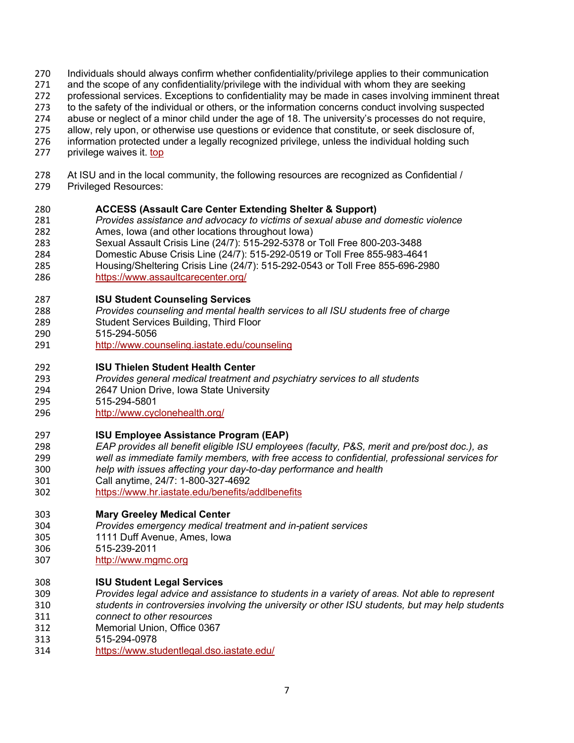- Individuals should always confirm whether confidentiality/privilege applies to their communication
- and the scope of any confidentiality/privilege with the individual with whom they are seeking
- professional services. Exceptions to confidentiality may be made in cases involving imminent threat
- to the safety of the individual or others, or the information concerns conduct involving suspected
- abuse or neglect of a minor child under the age of 18. The university's processes do not require,
- allow, rely upon, or otherwise use questions or evidence that constitute, or seek disclosure of,
- information protected under a legally recognized privilege, unless the individual holding such
- privilege waives it. [top](https://www.policy.iastate.edu/policy/students/sexualmisconduct#top)
- At ISU and in the local community, the following resources are recognized as Confidential / Privileged Resources:

### **ACCESS (Assault Care Center Extending Shelter & Support)**

- *Provides assistance and advocacy to victims of sexual abuse and domestic violence* Ames, Iowa (and other locations throughout Iowa)
- Sexual Assault Crisis Line (24/7): 515-292-5378 or Toll Free 800-203-3488
- Domestic Abuse Crisis Line (24/7): 515-292-0519 or Toll Free 855-983-4641
- Housing/Sheltering Crisis Line (24/7): 515-292-0543 or Toll Free 855-696-2980
- <https://www.assaultcarecenter.org/>

#### **ISU Student Counseling Services**

- *Provides counseling and mental health services to all ISU students free of charge*
- Student Services Building, Third Floor
- 515-294-5056
- <http://www.counseling.iastate.edu/counseling>
- **ISU Thielen Student Health Center**
- *Provides general medical treatment and psychiatry services to all students*
- 2647 Union Drive, Iowa State University
- 515-294-5801
- <http://www.cyclonehealth.org/>

#### **ISU Employee Assistance Program (EAP)**

- *EAP provides all benefit eligible ISU employees (faculty, P&S, merit and pre/post doc.), as well as immediate family members, with free access to confidential, professional services for*
- *help with issues affecting your day-to-day performance and health*
- Call anytime, 24/7: 1-800-327-4692
- <https://www.hr.iastate.edu/benefits/addlbenefits>
- **Mary Greeley Medical Center**
- *Provides emergency medical treatment and in-patient services*
- 1111 Duff Avenue, Ames, Iowa
- 515-239-2011
- [http://www.mgmc.org](http://www.mgmc.org/)
- **ISU Student Legal Services**
- *Provides legal advice and assistance to students in a variety of areas. Not able to represent students in controversies involving the university or other ISU students, but may help students*
- *connect to other resources*
- Memorial Union, Office 0367
- 515-294-0978
- <https://www.studentlegal.dso.iastate.edu/>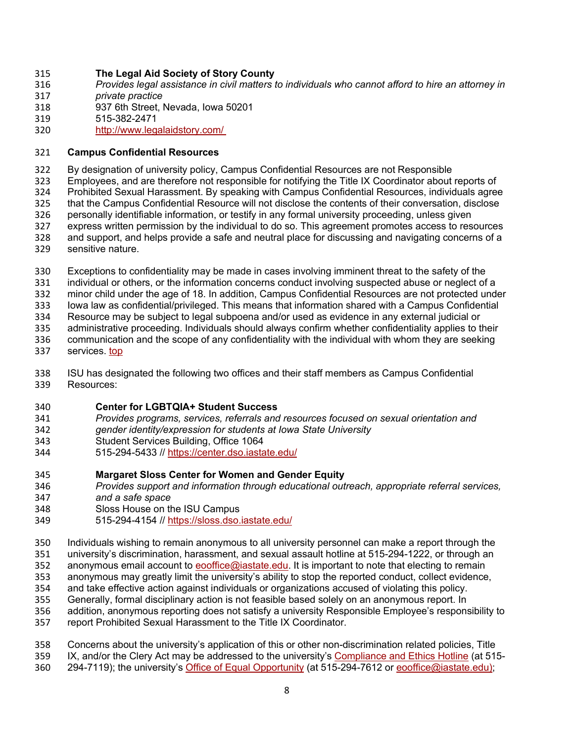### **The Legal Aid Society of Story County**

- *Provides legal assistance in civil matters to individuals who cannot afford to hire an attorney in*
- *private practice*
- 937 6th Street, Nevada, Iowa 50201
- 515-382-2471
- [http://www.legalaidstory.com/](http://www.legalaidstory.com/%C2%A0)

### **Campus Confidential Resources**

By designation of university policy, Campus Confidential Resources are not Responsible

Employees, and are therefore not responsible for notifying the Title IX Coordinator about reports of

Prohibited Sexual Harassment. By speaking with Campus Confidential Resources, individuals agree

- that the Campus Confidential Resource will not disclose the contents of their conversation, disclose
- personally identifiable information, or testify in any formal university proceeding, unless given
- 327 express written permission by the individual to do so. This agreement promotes access to resources<br>328 and support, and helps provide a safe and neutral place for discussing and navigating concerns of a and support, and helps provide a safe and neutral place for discussing and navigating concerns of a
- sensitive nature.
- Exceptions to confidentiality may be made in cases involving imminent threat to the safety of the
- individual or others, or the information concerns conduct involving suspected abuse or neglect of a

minor child under the age of 18. In addition, Campus Confidential Resources are not protected under

Iowa law as confidential/privileged. This means that information shared with a Campus Confidential

Resource may be subject to legal subpoena and/or used as evidence in any external judicial or

administrative proceeding. Individuals should always confirm whether confidentiality applies to their

- communication and the scope of any confidentiality with the individual with whom they are seeking
- services. [top](https://www.policy.iastate.edu/policy/students/sexualmisconduct#top)
- ISU has designated the following two offices and their staff members as Campus Confidential Resources:

### **Center for LGBTQIA+ Student Success**

- *Provides programs, services, referrals and resources focused on sexual orientation and*
- *gender identity/expression for students at Iowa State University*
- Student Services Building, Office 1064
- 515-294-5433 // <https://center.dso.iastate.edu/>

### **Margaret Sloss Center for Women and Gender Equity**

- *Provides support and information through educational outreach, appropriate referral services,*
- *and a safe space*
- Sloss House on the ISU Campus
- 515-294-4154 // <https://sloss.dso.iastate.edu/>

Individuals wishing to remain anonymous to all university personnel can make a report through the

- university's discrimination, harassment, and sexual assault hotline at 515-294-1222, or through an
- anonymous email account to [eooffice@iastate.edu.](mailto:eooffice@iastate.edu) It is important to note that electing to remain
- anonymous may greatly limit the university's ability to stop the reported conduct, collect evidence,
- and take effective action against individuals or organizations accused of violating this policy. Generally, formal disciplinary action is not feasible based solely on an anonymous report. In
- addition, anonymous reporting does not satisfy a university Responsible Employee's responsibility to
- report Prohibited Sexual Harassment to the Title IX Coordinator.
- Concerns about the university's application of this or other non-discrimination related policies, Title
- IX, and/or the Clery Act may be addressed to the university's [Compliance and Ethics Hotline](https://www.policy.iastate.edu/ethics-hotline) (at 515-
- 294-7119); the university's [Office of Equal Opportunity](https://www.eoc.iastate.edu/) (at 515-294-7612 or [eooffice@iastate.edu\);](mailto:eooffice@iastate.edu))